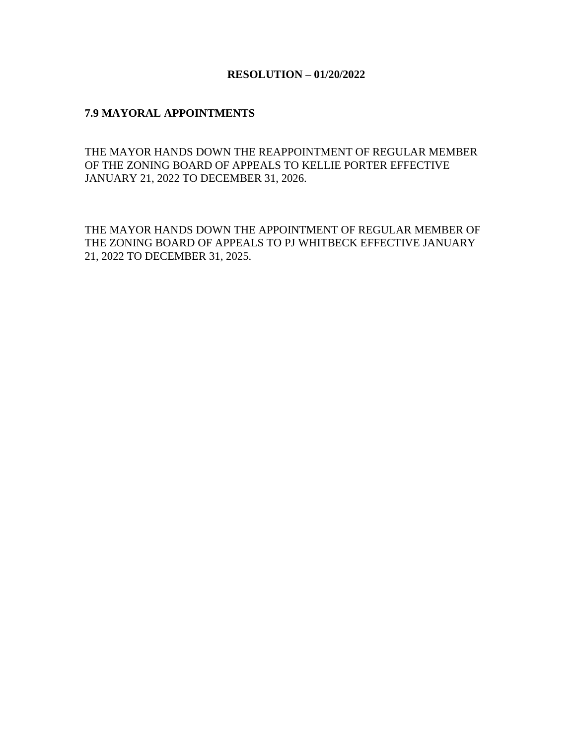### **7.9 MAYORAL APPOINTMENTS**

THE MAYOR HANDS DOWN THE REAPPOINTMENT OF REGULAR MEMBER OF THE ZONING BOARD OF APPEALS TO KELLIE PORTER EFFECTIVE JANUARY 21, 2022 TO DECEMBER 31, 2026.

THE MAYOR HANDS DOWN THE APPOINTMENT OF REGULAR MEMBER OF THE ZONING BOARD OF APPEALS TO PJ WHITBECK EFFECTIVE JANUARY 21, 2022 TO DECEMBER 31, 2025.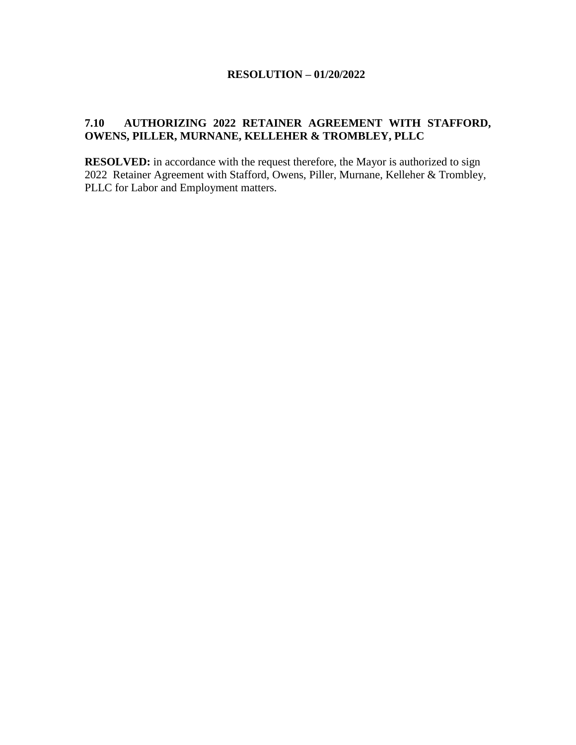### **7.10 AUTHORIZING 2022 RETAINER AGREEMENT WITH STAFFORD, OWENS, PILLER, MURNANE, KELLEHER & TROMBLEY, PLLC**

**RESOLVED:** in accordance with the request therefore, the Mayor is authorized to sign 2022 Retainer Agreement with Stafford, Owens, Piller, Murnane, Kelleher & Trombley, PLLC for Labor and Employment matters.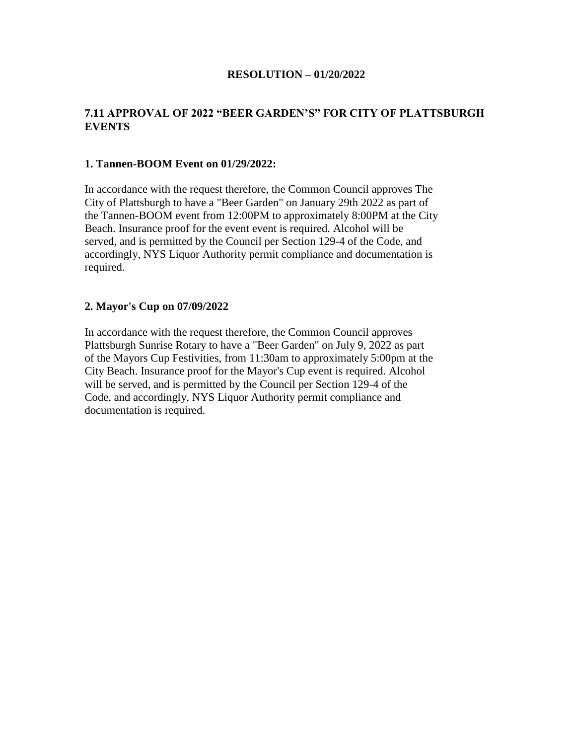# **7.11 APPROVAL OF 2022 "BEER GARDEN'S" FOR CITY OF PLATTSBURGH EVENTS**

### **1. Tannen-BOOM Event on 01/29/2022:**

In accordance with the request therefore, the Common Council approves The City of Plattsburgh to have a "Beer Garden" on January 29th 2022 as part of the Tannen-BOOM event from 12:00PM to approximately 8:00PM at the City Beach. Insurance proof for the event event is required. Alcohol will be served, and is permitted by the Council per Section 129-4 of the Code, and accordingly, NYS Liquor Authority permit compliance and documentation is required.

### **2. Mayor's Cup on 07/09/2022**

In accordance with the request therefore, the Common Council approves Plattsburgh Sunrise Rotary to have a "Beer Garden" on July 9, 2022 as part of the Mayors Cup Festivities, from 11:30am to approximately 5:00pm at the City Beach. Insurance proof for the Mayor's Cup event is required. Alcohol will be served, and is permitted by the Council per Section 129-4 of the Code, and accordingly, NYS Liquor Authority permit compliance and documentation is required.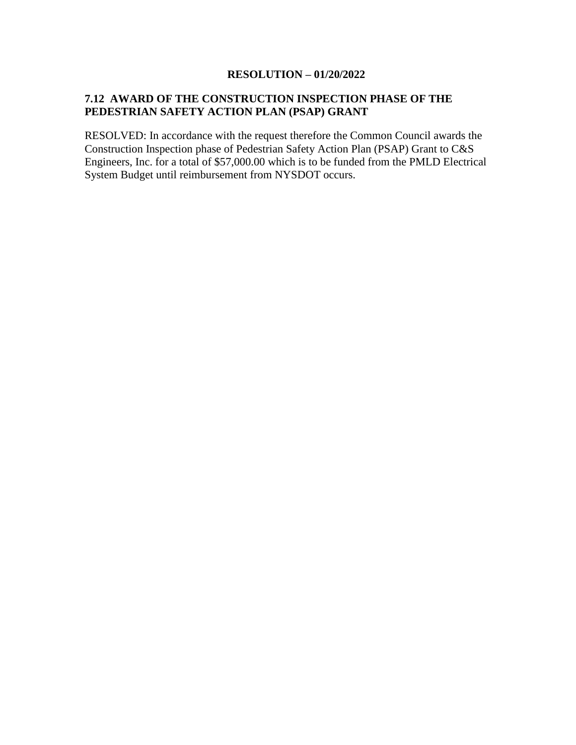# **7.12 AWARD OF THE CONSTRUCTION INSPECTION PHASE OF THE PEDESTRIAN SAFETY ACTION PLAN (PSAP) GRANT**

RESOLVED: In accordance with the request therefore the Common Council awards the Construction Inspection phase of Pedestrian Safety Action Plan (PSAP) Grant to C&S Engineers, Inc. for a total of \$57,000.00 which is to be funded from the PMLD Electrical System Budget until reimbursement from NYSDOT occurs.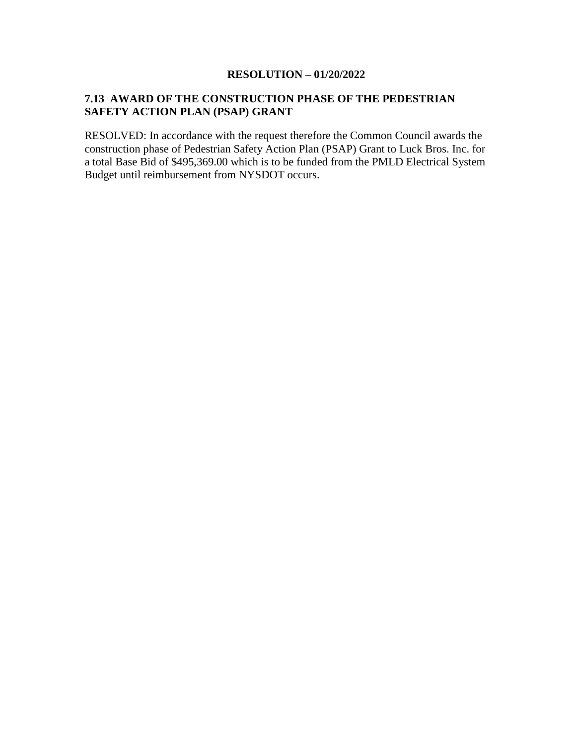### **7.13 AWARD OF THE CONSTRUCTION PHASE OF THE PEDESTRIAN SAFETY ACTION PLAN (PSAP) GRANT**

RESOLVED: In accordance with the request therefore the Common Council awards the construction phase of Pedestrian Safety Action Plan (PSAP) Grant to Luck Bros. Inc. for a total Base Bid of \$495,369.00 which is to be funded from the PMLD Electrical System Budget until reimbursement from NYSDOT occurs.